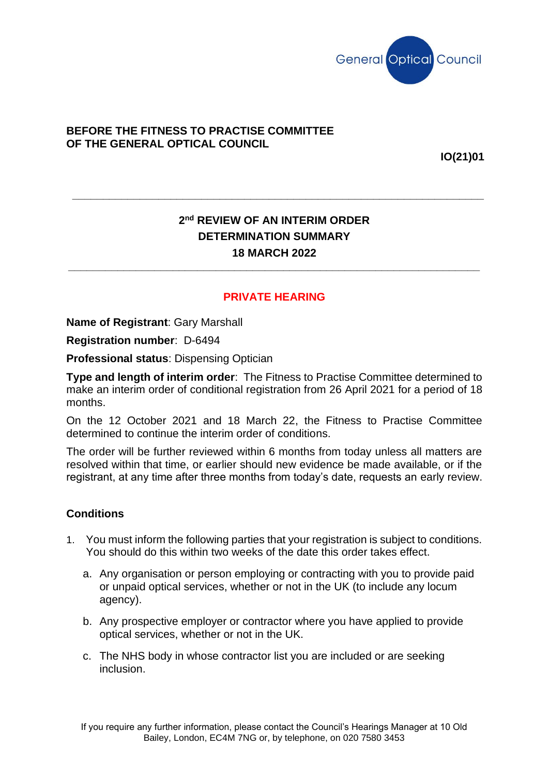

## **BEFORE THE FITNESS TO PRACTISE COMMITTEE OF THE GENERAL OPTICAL COUNCIL**

**IO(21)01**

## **2 nd REVIEW OF AN INTERIM ORDER DETERMINATION SUMMARY 18 MARCH 2022**

**\_\_\_\_\_\_\_\_\_\_\_\_\_\_\_\_\_\_\_\_\_\_\_\_\_\_\_\_\_\_\_\_\_\_\_\_\_\_\_\_\_\_\_\_\_\_\_\_\_\_\_\_\_\_\_\_\_\_\_\_\_\_\_\_\_\_\_**

**\_\_\_\_\_\_\_\_\_\_\_\_\_\_\_\_\_\_\_\_\_\_\_\_\_\_\_\_\_\_\_\_\_\_\_\_\_\_\_\_\_\_\_\_\_\_\_\_\_\_\_\_\_\_\_\_\_\_\_\_\_\_\_\_\_\_\_**

## **PRIVATE HEARING**

**Name of Registrant**: Gary Marshall

**Registration number**: D-6494

**Professional status**: Dispensing Optician

**Type and length of interim order**: The Fitness to Practise Committee determined to make an interim order of conditional registration from 26 April 2021 for a period of 18 months.

On the 12 October 2021 and 18 March 22, the Fitness to Practise Committee determined to continue the interim order of conditions.

The order will be further reviewed within 6 months from today unless all matters are resolved within that time, or earlier should new evidence be made available, or if the registrant, at any time after three months from today's date, requests an early review.

## **Conditions**

- 1. You must inform the following parties that your registration is subject to conditions. You should do this within two weeks of the date this order takes effect.
	- a. Any organisation or person employing or contracting with you to provide paid or unpaid optical services, whether or not in the UK (to include any locum agency).
	- b. Any prospective employer or contractor where you have applied to provide optical services, whether or not in the UK.
	- c. The NHS body in whose contractor list you are included or are seeking inclusion.